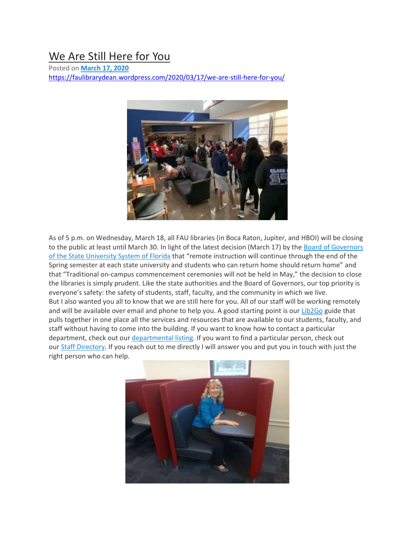## We Are Still [Here](https://faulibrarydean.wordpress.com/2020/03/17/we-are-still-here-for-you/) for You

Posted on **[March](https://faulibrarydean.wordpress.com/2020/03/17/we-are-still-here-for-you/) 17, 2020** <https://faulibrarydean.wordpress.com/2020/03/17/we-are-still-here-for-you/>



As of 5 p.m. on Wednesday, March 18, all FAU libraries (in Boca Raton, Jupiter, and HBOI) will be closing to the public at least until March 30. In light of the latest decision (March 17) by the Board of [Governors](https://www.flbog.edu/2020/03/17/state-university-system-extends-remote-learning/) of the State [University](https://www.flbog.edu/2020/03/17/state-university-system-extends-remote-learning/) System of Florida that "remote instruction will continue through the end of the Spring semester at each state university and students who can return home should return home" and that "Traditional on-campus commencement ceremonies will not be held in May," the decision to close the libraries is simply prudent. Like the state authorities and the Board of Governors, our top priority is everyone's safety: the safety of students, staff, faculty, and the community in which we live. But I also wanted you all to know that we are still here for you. All of our staff will be working remotely and will be available over email and phone to help you. A good starting point is our [Lib2Go](https://library.fau.edu/lib2go) guide that pulls together in one place all the services and resources that are available to our students, faculty, and staff without having to come into the building. If you want to know how to contact a particular department, check out our [departmental](https://library.fau.edu/departments) listing. If you want to find a particular person, check out our Staff [Directory.](https://library.fau.edu/staff/directory) If you reach out to me directly I will answer you and put you in touch with just the right person who can help.